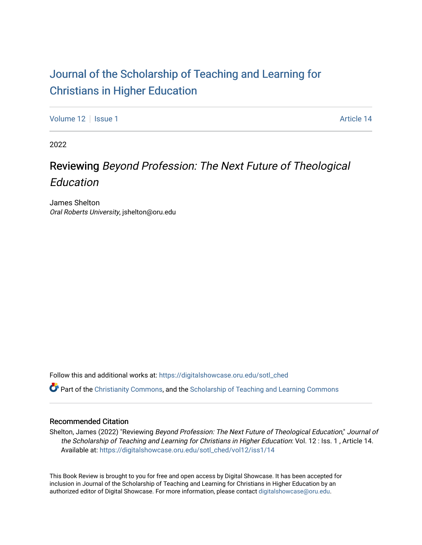# [Journal of the Scholarship of Teaching and Learning for](https://digitalshowcase.oru.edu/sotl_ched)  [Christians in Higher Education](https://digitalshowcase.oru.edu/sotl_ched)

[Volume 12](https://digitalshowcase.oru.edu/sotl_ched/vol12) | [Issue 1](https://digitalshowcase.oru.edu/sotl_ched/vol12/iss1) Article 14

2022

# Reviewing Beyond Profession: The Next Future of Theological Education

James Shelton Oral Roberts University, jshelton@oru.edu

Follow this and additional works at: [https://digitalshowcase.oru.edu/sotl\\_ched](https://digitalshowcase.oru.edu/sotl_ched?utm_source=digitalshowcase.oru.edu%2Fsotl_ched%2Fvol12%2Fiss1%2F14&utm_medium=PDF&utm_campaign=PDFCoverPages) 

Part of the [Christianity Commons,](https://network.bepress.com/hgg/discipline/1181?utm_source=digitalshowcase.oru.edu%2Fsotl_ched%2Fvol12%2Fiss1%2F14&utm_medium=PDF&utm_campaign=PDFCoverPages) and the [Scholarship of Teaching and Learning Commons](https://network.bepress.com/hgg/discipline/1328?utm_source=digitalshowcase.oru.edu%2Fsotl_ched%2Fvol12%2Fiss1%2F14&utm_medium=PDF&utm_campaign=PDFCoverPages) 

### Recommended Citation

Shelton, James (2022) "Reviewing Beyond Profession: The Next Future of Theological Education," Journal of the Scholarship of Teaching and Learning for Christians in Higher Education: Vol. 12 : Iss. 1 , Article 14. Available at: [https://digitalshowcase.oru.edu/sotl\\_ched/vol12/iss1/14](https://digitalshowcase.oru.edu/sotl_ched/vol12/iss1/14?utm_source=digitalshowcase.oru.edu%2Fsotl_ched%2Fvol12%2Fiss1%2F14&utm_medium=PDF&utm_campaign=PDFCoverPages) 

This Book Review is brought to you for free and open access by Digital Showcase. It has been accepted for inclusion in Journal of the Scholarship of Teaching and Learning for Christians in Higher Education by an authorized editor of Digital Showcase. For more information, please contact [digitalshowcase@oru.edu.](mailto:digitalshowcase@oru.edu)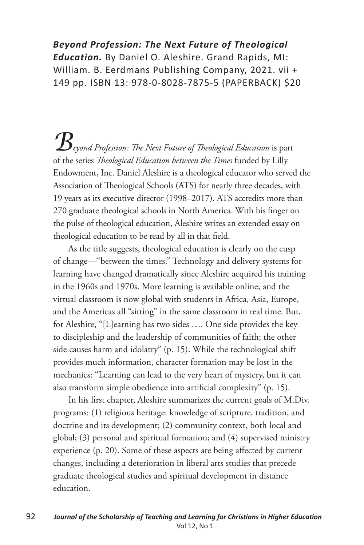### *Beyond Profession: The Next Future of Theological Education.* By Daniel O. Aleshire. Grand Rapids, MI: William. B. Eerdmans Publishing Company, 2021. vii + 149 pp. ISBN 13: 978-0-8028-7875-5 (PAPERBACK) \$20

*Beyond Profession: The Next Future of Theological Education* is part of the series *Theological Education between the Times* funded by Lilly Endowment, Inc. Daniel Aleshire is a theological educator who served the Association of Theological Schools (ATS) for nearly three decades, with 19 years as its executive director (1998–2017). ATS accredits more than 270 graduate theological schools in North America. With his finger on the pulse of theological education, Aleshire writes an extended essay on theological education to be read by all in that field.

As the title suggests, theological education is clearly on the cusp of change—"between the times." Technology and delivery systems for learning have changed dramatically since Aleshire acquired his training in the 1960s and 1970s. More learning is available online, and the virtual classroom is now global with students in Africa, Asia, Europe, and the Americas all "sitting" in the same classroom in real time. But, for Aleshire, "[L]earning has two sides …. One side provides the key to discipleship and the leadership of communities of faith; the other side causes harm and idolatry" (p. 15). While the technological shift provides much information, character formation may be lost in the mechanics: "Learning can lead to the very heart of mystery, but it can also transform simple obedience into artificial complexity" (p. 15).

In his first chapter, Aleshire summarizes the current goals of M.Div. programs: (1) religious heritage: knowledge of scripture, tradition, and doctrine and its development; (2) community context, both local and global; (3) personal and spiritual formation; and (4) supervised ministry experience (p. 20). Some of these aspects are being affected by current changes, including a deterioration in liberal arts studies that precede graduate theological studies and spiritual development in distance education.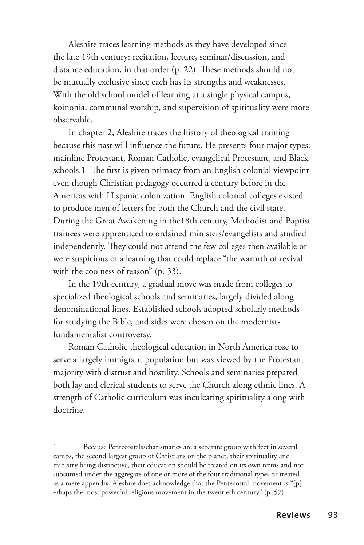Aleshire traces learning methods as they have developed since the late 19th century: recitation, lecture, seminar/discussion, and distance education, in that order (p. 22). These methods should not be mutually exclusive since each has its strengths and weaknesses. With the old school model of learning at a single physical campus, koinonia, communal worship, and supervision of spirituality were more observable.

In chapter 2, Aleshire traces the history of theological training because this past will influence the future. He presents four major types: mainline Protestant, Roman Catholic, evangelical Protestant, and Black schools.11 The first is given primacy from an English colonial viewpoint even though Christian pedagogy occurred a century before in the Americas with Hispanic colonization. English colonial colleges existed to produce men of letters for both the Church and the civil state. During the Great Awakening in the18th century, Methodist and Baptist trainees were apprenticed to ordained ministers/evangelists and studied independently. They could not attend the few colleges then available or were suspicious of a learning that could replace "the warmth of revival with the coolness of reason" (p. 33).

In the 19th century, a gradual move was made from colleges to specialized theological schools and seminaries, largely divided along denominational lines. Established schools adopted scholarly methods for studying the Bible, and sides were chosen on the modernistfundamentalist controversy.

Roman Catholic theological education in North America rose to serve a largely immigrant population but was viewed by the Protestant majority with distrust and hostility. Schools and seminaries prepared both lay and clerical students to serve the Church along ethnic lines. A strength of Catholic curriculum was inculcating spirituality along with doctrine.

Because Pentecostals/charismatics are a separate group with feet in several camps, the second largest group of Christians on the planet, their spirituality and ministry being distinctive, their education should be treated on its own terms and not subsumed under the aggregate of one or more of the four traditional types or treated as a mere appendix. Aleshire does acknowledge that the Pentecostal movement is "[p] erhaps the most powerful religious movement in the twentieth century" (p. 57)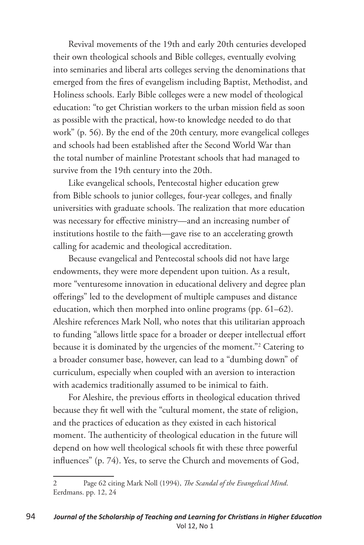Revival movements of the 19th and early 20th centuries developed their own theological schools and Bible colleges, eventually evolving into seminaries and liberal arts colleges serving the denominations that emerged from the fires of evangelism including Baptist, Methodist, and Holiness schools. Early Bible colleges were a new model of theological education: "to get Christian workers to the urban mission field as soon as possible with the practical, how-to knowledge needed to do that work" (p. 56). By the end of the 20th century, more evangelical colleges and schools had been established after the Second World War than the total number of mainline Protestant schools that had managed to survive from the 19th century into the 20th.

Like evangelical schools, Pentecostal higher education grew from Bible schools to junior colleges, four-year colleges, and finally universities with graduate schools. The realization that more education was necessary for effective ministry—and an increasing number of institutions hostile to the faith—gave rise to an accelerating growth calling for academic and theological accreditation.

Because evangelical and Pentecostal schools did not have large endowments, they were more dependent upon tuition. As a result, more "venturesome innovation in educational delivery and degree plan offerings" led to the development of multiple campuses and distance education, which then morphed into online programs (pp. 61–62). Aleshire references Mark Noll, who notes that this utilitarian approach to funding "allows little space for a broader or deeper intellectual effort because it is dominated by the urgencies of the moment."2 Catering to a broader consumer base, however, can lead to a "dumbing down" of curriculum, especially when coupled with an aversion to interaction with academics traditionally assumed to be inimical to faith.

For Aleshire, the previous efforts in theological education thrived because they fit well with the "cultural moment, the state of religion, and the practices of education as they existed in each historical moment. The authenticity of theological education in the future will depend on how well theological schools fit with these three powerful influences" (p. 74). Yes, to serve the Church and movements of God,

<sup>2</sup> Page 62 citing Mark Noll (1994), *The Scandal of the Evangelical Mind*. Eerdmans. pp. 12, 24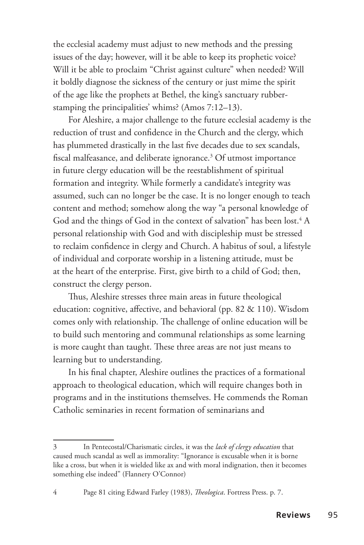the ecclesial academy must adjust to new methods and the pressing issues of the day; however, will it be able to keep its prophetic voice? Will it be able to proclaim "Christ against culture" when needed? Will it boldly diagnose the sickness of the century or just mime the spirit of the age like the prophets at Bethel, the king's sanctuary rubberstamping the principalities' whims? (Amos 7:12–13).

For Aleshire, a major challenge to the future ecclesial academy is the reduction of trust and confidence in the Church and the clergy, which has plummeted drastically in the last five decades due to sex scandals, fiscal malfeasance, and deliberate ignorance.3 Of utmost importance in future clergy education will be the reestablishment of spiritual formation and integrity. While formerly a candidate's integrity was assumed, such can no longer be the case. It is no longer enough to teach content and method; somehow along the way "a personal knowledge of God and the things of God in the context of salvation" has been lost. $^4$  A personal relationship with God and with discipleship must be stressed to reclaim confidence in clergy and Church. A habitus of soul, a lifestyle of individual and corporate worship in a listening attitude, must be at the heart of the enterprise. First, give birth to a child of God; then, construct the clergy person.

Thus, Aleshire stresses three main areas in future theological education: cognitive, affective, and behavioral (pp. 82 & 110). Wisdom comes only with relationship. The challenge of online education will be to build such mentoring and communal relationships as some learning is more caught than taught. These three areas are not just means to learning but to understanding.

In his final chapter, Aleshire outlines the practices of a formational approach to theological education, which will require changes both in programs and in the institutions themselves. He commends the Roman Catholic seminaries in recent formation of seminarians and

<sup>3</sup> In Pentecostal/Charismatic circles, it was the *lack of clergy education* that caused much scandal as well as immorality: "Ignorance is excusable when it is borne like a cross, but when it is wielded like ax and with moral indignation, then it becomes something else indeed" (Flannery O'Connor)

<sup>4</sup> Page 81 citing Edward Farley (1983), *Theologica*. Fortress Press. p. 7.